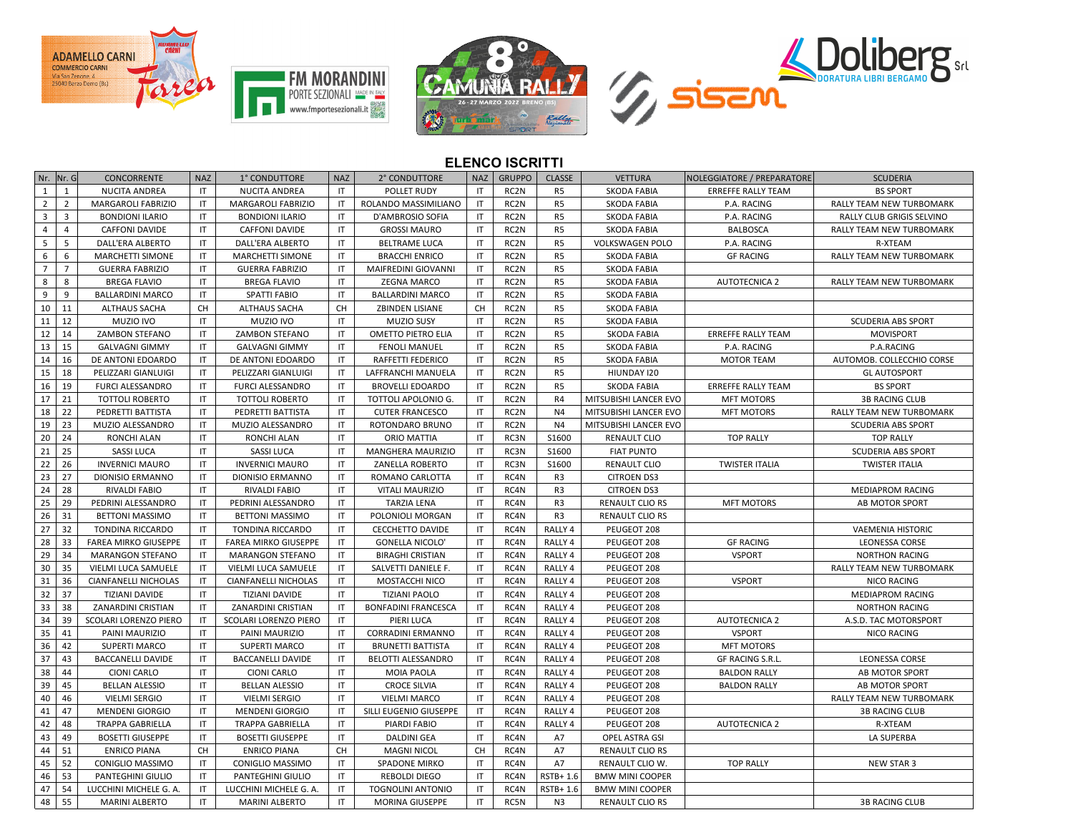







## **ELENCO ISCRITTI**

|                | Nr. Nr. G      | CONCORRENTE                 | <b>NAZ</b>             | 1° CONDUTTORE               | <b>NAZ</b>             | 2° CONDUTTORE              | <b>NAZ</b>             | <b>GRUPPO</b>     | <b>CLASSE</b>      | <b>VETTURA</b>         | NOLEGGIATORE / PREPARATORE | <b>SCUDERIA</b>           |
|----------------|----------------|-----------------------------|------------------------|-----------------------------|------------------------|----------------------------|------------------------|-------------------|--------------------|------------------------|----------------------------|---------------------------|
| $\mathbf{1}$   | $\mathbf{1}$   | <b>NUCITA ANDREA</b>        | $\mathsf{I}$           | <b>NUCITA ANDREA</b>        | $\mathsf{I}$           | POLLET RUDY                | $\mathsf{I}$           | RC2N              | R <sub>5</sub>     | <b>SKODA FABIA</b>     | <b>ERREFFE RALLY TEAM</b>  | <b>BS SPORT</b>           |
| $\overline{2}$ | $\overline{2}$ | <b>MARGAROLI FABRIZIO</b>   | $\mathsf{I}$           | <b>MARGAROLI FABRIZIO</b>   | IT                     | ROLANDO MASSIMILIANO       | $\mathsf{I}$           | RC2N              | R <sub>5</sub>     | <b>SKODA FABIA</b>     | P.A. RACING                | RALLY TEAM NEW TURBOMARK  |
| $\overline{3}$ | $\overline{3}$ | <b>BONDIONI ILARIO</b>      | IT                     | <b>BONDIONI ILARIO</b>      | $\mathsf{I}$           | D'AMBROSIO SOFIA           | $\mathsf{I}\mathsf{T}$ | RC2N              | R <sub>5</sub>     | <b>SKODA FABIA</b>     | P.A. RACING                | RALLY CLUB GRIGIS SELVINO |
| $\overline{4}$ | $\overline{4}$ | <b>CAFFONI DAVIDE</b>       | IT                     | <b>CAFFONI DAVIDE</b>       | IT                     | <b>GROSSI MAURO</b>        | $\mathsf{I}$           | RC <sub>2</sub> N | R <sub>5</sub>     | <b>SKODA FABIA</b>     | <b>BALBOSCA</b>            | RALLY TEAM NEW TURBOMARK  |
| 5              | 5              | DALL'ERA ALBERTO            | IT                     | DALL'ERA ALBERTO            | $\mathsf{I}\mathsf{T}$ | <b>BELTRAME LUCA</b>       | $\mathsf{I}\mathsf{T}$ | RC2N              | R <sub>5</sub>     | <b>VOLKSWAGEN POLO</b> | P.A. RACING                | R-XTEAM                   |
| 6              | 6              | <b>MARCHETTI SIMONE</b>     | IT                     | MARCHETTI SIMONE            | IT                     | <b>BRACCHI ENRICO</b>      | IT                     | RC2N              | R <sub>5</sub>     | <b>SKODA FABIA</b>     | <b>GF RACING</b>           | RALLY TEAM NEW TURBOMARK  |
| $\overline{7}$ | $\overline{7}$ | <b>GUERRA FABRIZIO</b>      | IT.                    | <b>GUERRA FABRIZIO</b>      | $\mathsf{I}\mathsf{T}$ | MAIFREDINI GIOVANNI        | $\mathsf{I}\mathsf{T}$ | RC2N              | R <sub>5</sub>     | <b>SKODA FABIA</b>     |                            |                           |
| 8              | 8              | <b>BREGA FLAVIO</b>         | $\mathsf{I}\mathsf{T}$ | <b>BREGA FLAVIO</b>         | $\mathsf{I}\mathsf{T}$ | ZEGNA MARCO                | IT                     | RC2N              | R <sub>5</sub>     | <b>SKODA FABIA</b>     | <b>AUTOTECNICA 2</b>       | RALLY TEAM NEW TURBOMARK  |
| 9              | 9              | <b>BALLARDINI MARCO</b>     | IT                     | <b>SPATTI FABIO</b>         | IT                     | <b>BALLARDINI MARCO</b>    | IT                     | RC2N              | R <sub>5</sub>     | <b>SKODA FABIA</b>     |                            |                           |
| 10             | 11             | <b>ALTHAUS SACHA</b>        | CH                     | <b>ALTHAUS SACHA</b>        | CH                     | ZBINDEN LISIANE            | <b>CH</b>              | RC <sub>2</sub> N | R <sub>5</sub>     | SKODA FABIA            |                            |                           |
| 11             | 12             | MUZIO IVO                   | IT                     | MUZIO IVO                   | IT                     | MUZIO SUSY                 | $\mathsf{I}$           | RC2N              | R <sub>5</sub>     | <b>SKODA FABIA</b>     |                            | <b>SCUDERIA ABS SPORT</b> |
| 12             | 14             | ZAMBON STEFANO              | IT                     | ZAMBON STEFANO              | IT                     | <b>OMETTO PIETRO ELIA</b>  | $\mathsf{I}\mathsf{T}$ | RC2N              | R <sub>5</sub>     | <b>SKODA FABIA</b>     | ERREFFE RALLY TEAM         | <b>MOVISPORT</b>          |
| 13             | 15             | <b>GALVAGNI GIMMY</b>       | IT                     | <b>GALVAGNI GIMMY</b>       | IT                     | <b>FENOLI MANUEL</b>       | $\mathsf{I}$           | RC2N              | R <sub>5</sub>     | <b>SKODA FABIA</b>     | P.A. RACING                | P.A.RACING                |
| 14             | 16             | DE ANTONI EDOARDO           | $\mathsf{I}$           | DE ANTONI EDOARDO           | IT                     | RAFFETTI FEDERICO          | $\mathsf{I}$           | RC2N              | R <sub>5</sub>     | <b>SKODA FABIA</b>     | <b>MOTOR TEAM</b>          | AUTOMOB. COLLECCHIO CORSE |
| 15             | 18             | PELIZZARI GIANLUIGI         | IT                     | PELIZZARI GIANLUIGI         | IT                     | LAFFRANCHI MANUELA         | $\mathsf{I}\mathsf{T}$ | RC2N              | R <sub>5</sub>     | HIUNDAY 120            |                            | <b>GL AUTOSPORT</b>       |
| 16             | 19             | <b>FURCI ALESSANDRO</b>     | $\mathsf{I}\mathsf{T}$ | <b>FURCI ALESSANDRO</b>     | IT                     | <b>BROVELLI EDOARDO</b>    | $\mathsf{I}\mathsf{T}$ | RC2N              | R <sub>5</sub>     | SKODA FABIA            | ERREFFE RALLY TEAM         | <b>BS SPORT</b>           |
| 17             | 21             | <b>TOTTOLI ROBERTO</b>      | $\mathsf{I}\mathsf{T}$ | <b>TOTTOLI ROBERTO</b>      | IT                     | TOTTOLI APOLONIO G.        | $\mathsf{I}$           | RC2N              | R4                 | MITSUBISHI LANCER EVO  | <b>MFT MOTORS</b>          | <b>3B RACING CLUB</b>     |
| 18             | 22             | PEDRETTI BATTISTA           | $\mathsf{I}$           | PEDRETTI BATTISTA           | IT                     | <b>CUTER FRANCESCO</b>     | $\mathsf{I}$           | RC2N              | N4                 | MITSUBISHI LANCER EVO  | <b>MFT MOTORS</b>          | RALLY TEAM NEW TURBOMARK  |
| 19             | 23             | MUZIO ALESSANDRO            | $\mathsf{I}$           | MUZIO ALESSANDRO            | $\mathsf{I}$           | ROTONDARO BRUNO            | $\mathsf{I}$           | RC2N              | N <sub>4</sub>     | MITSUBISHI LANCER EVO  |                            | <b>SCUDERIA ABS SPORT</b> |
| 20             | 24             | <b>RONCHI ALAN</b>          | $\mathsf{I}\mathsf{T}$ | <b>RONCHI ALAN</b>          | IT                     | <b>ORIO MATTIA</b>         | $\mathsf{I}\mathsf{T}$ | RC3N              | S1600              | <b>RENAULT CLIO</b>    | <b>TOP RALLY</b>           | <b>TOP RALLY</b>          |
| 21             | 25             | SASSI LUCA                  | $\mathsf{I}\mathsf{T}$ | SASSI LUCA                  | IT                     | MANGHERA MAURIZIO          | $\mathsf{I}$           | RC3N              | S1600              | <b>FIAT PUNTO</b>      |                            | SCUDERIA ABS SPORT        |
| 22             | 26             | <b>INVERNICI MAURO</b>      | IT                     | <b>INVERNICI MAURO</b>      | $\mathsf{I}$           | <b>ZANELLA ROBERTO</b>     | $\mathsf{I}$           | RC3N              | S1600              | <b>RENAULT CLIO</b>    | <b>TWISTER ITALIA</b>      | <b>TWISTER ITALIA</b>     |
| 23             | 27             | DIONISIO ERMANNO            | IT                     | DIONISIO ERMANNO            | $\mathsf{I}$           | ROMANO CARLOTTA            | $\mathsf{I}$           | RC4N              | R <sub>3</sub>     | <b>CITROEN DS3</b>     |                            |                           |
| 24             | 28             | <b>RIVALDI FABIO</b>        | IT                     | <b>RIVALDI FABIO</b>        | IT                     | <b>VITALI MAURIZIO</b>     | $\mathsf{I}$           | RC4N              | R <sub>3</sub>     | <b>CITROEN DS3</b>     |                            | <b>MEDIAPROM RACING</b>   |
| 25             | 29             | PEDRINI ALESSANDRO          | IT                     | PEDRINI ALESSANDRO          | $\mathsf{I}\mathsf{T}$ | <b>TARZIA LENA</b>         | $\mathsf{I}$           | RC4N              | R <sub>3</sub>     | <b>RENAULT CLIO RS</b> | <b>MFT MOTORS</b>          | AB MOTOR SPORT            |
| 26             | 31             | <b>BETTONI MASSIMO</b>      | IT                     | <b>BETTONI MASSIMO</b>      | IT                     | POLONIOLI MORGAN           | $\mathsf{I}\mathsf{T}$ | RC4N              | R <sub>3</sub>     | <b>RENAULT CLIO RS</b> |                            |                           |
| 27             | 32             | <b>TONDINA RICCARDO</b>     | IT                     | TONDINA RICCARDO            | $\mathsf{I}\mathsf{T}$ | <b>CECCHETTO DAVIDE</b>    | $\mathsf{I}$           | RC4N              | RALLY 4            | PEUGEOT 208            |                            | <b>VAEMENIA HISTORIC</b>  |
| 28             | 33             | FAREA MIRKO GIUSEPPE        | IT                     | <b>FAREA MIRKO GIUSEPPE</b> | IT                     | <b>GONELLA NICOLO</b>      | $\mathsf{I}\mathsf{T}$ | RC4N              | RALLY 4            | PEUGEOT 208            | <b>GF RACING</b>           | LEONESSA CORSE            |
| 29             | 34             | <b>MARANGON STEFANO</b>     | IT                     | <b>MARANGON STEFANO</b>     | IT                     | <b>BIRAGHI CRISTIAN</b>    | $\mathsf{I}$           | RC4N              | RALLY 4            | PEUGEOT 208            | <b>VSPORT</b>              | <b>NORTHON RACING</b>     |
| 30             | 35             | VIELMI LUCA SAMUELE         | $\mathsf{I}\mathsf{T}$ | VIELMI LUCA SAMUELE         | $\sf IT$               | SALVETTI DANIELE F.        | $\sf IT$               | RC4N              | RALLY 4            | PEUGEOT 208            |                            | RALLY TEAM NEW TURBOMARK  |
| 31             | 36             | <b>CIANFANELLI NICHOLAS</b> | IT                     | <b>CIANFANELLI NICHOLAS</b> | IT                     | MOSTACCHI NICO             | $\mathsf{I}$           | RC4N              | RALLY 4            | PEUGEOT 208            | <b>VSPORT</b>              | NICO RACING               |
| 32             | 37             | <b>TIZIANI DAVIDE</b>       | IT                     | <b>TIZIANI DAVIDE</b>       | IT                     | <b>TIZIANI PAOLO</b>       | $\mathsf{I}$           | RC4N              | RALLY 4            | PEUGEOT 208            |                            | <b>MEDIAPROM RACING</b>   |
| 33             | 38             | ZANARDINI CRISTIAN          | IT                     | ZANARDINI CRISTIAN          | IT                     | <b>BONFADINI FRANCESCA</b> | $\mathsf{I}$           | RC4N              | RALLY 4            | PEUGEOT 208            |                            | <b>NORTHON RACING</b>     |
| 34             | 39             | SCOLARI LORENZO PIERO       | IT                     | SCOLARI LORENZO PIERO       | IT                     | PIERI LUCA                 | $\mathsf{I}$           | RC4N              | RALLY 4            | PEUGEOT 208            | <b>AUTOTECNICA 2</b>       | A.S.D. TAC MOTORSPORT     |
| 35             | 41             | PAINI MAURIZIO              | IT                     | PAINI MAURIZIO              | IT                     | <b>CORRADINI ERMANNO</b>   | $\mathsf{I}\mathsf{T}$ | RC4N              | RALLY 4            | PEUGEOT 208            | <b>VSPORT</b>              | NICO RACING               |
| 36             | 42             | <b>SUPERTI MARCO</b>        | IT                     | <b>SUPERTI MARCO</b>        | IT                     | <b>BRUNETTI BATTISTA</b>   | $\mathsf{I}$           | RC4N              | RALLY 4            | PEUGEOT 208            | <b>MFT MOTORS</b>          |                           |
| 37             | 43             | <b>BACCANELLI DAVIDE</b>    | $\mathsf{I}\mathsf{T}$ | <b>BACCANELLI DAVIDE</b>    | $\mathsf{I}\mathsf{T}$ | <b>BELOTTI ALESSANDRO</b>  | $\mathsf{I}$           | RC4N              | RALLY 4            | PEUGEOT 208            | <b>GF RACING S.R.L</b>     | LEONESSA CORSE            |
| 38             | 44             | <b>CIONI CARLO</b>          | $\mathsf{I}\mathsf{T}$ | <b>CIONI CARLO</b>          | IT                     | MOIA PAOLA                 | $\mathsf{I}$           | RC4N              | RALLY 4            | PEUGEOT 208            | <b>BALDON RALLY</b>        | AB MOTOR SPORT            |
| 39             | 45             | <b>BELLAN ALESSIO</b>       | $\mathsf{I}$           | <b>BELLAN ALESSIO</b>       | $\mathsf{I}$           | <b>CROCE SILVIA</b>        | $\mathsf{I}$           | RC4N              | RALLY 4            | PEUGEOT 208            | <b>BALDON RALLY</b>        | AB MOTOR SPORT            |
| 40             | 46             | <b>VIELMI SERGIO</b>        | $\mathsf{I}\mathsf{T}$ | VIELMI SERGIO               | IT                     | <b>VIELMI MARCO</b>        | $\mathsf{I}$           | RC4N              | RALLY 4            | PEUGEOT 208            |                            | RALLY TEAM NEW TURBOMARK  |
| 41             | 47             | MENDENI GIORGIO             | IT                     | <b>MENDENI GIORGIO</b>      | $\mathsf{I}$           | SILLI EUGENIO GIUSEPPE     | $\mathsf{I}$           | RC4N              | RALLY 4            | PEUGEOT 208            |                            | <b>3B RACING CLUB</b>     |
| 42             | 48             | <b>TRAPPA GABRIELLA</b>     | $\mathsf{I}$           | <b>TRAPPA GABRIELLA</b>     | IT                     | PIARDI FABIO               | $\mathsf{I}$           | RC4N              | RALLY <sub>4</sub> | PEUGEOT 208            | <b>AUTOTECNICA 2</b>       | R-XTEAM                   |
| 43             | 49             | <b>BOSETTI GIUSEPPE</b>     | $\mathsf{I}$           | <b>BOSETTI GIUSEPPE</b>     | IT                     | <b>DALDINI GEA</b>         | $\mathsf{I}$           | RC4N              | A7                 | OPEL ASTRA GSI         |                            | LA SUPERBA                |
| 44             | 51             | <b>ENRICO PIANA</b>         | <b>CH</b>              | <b>ENRICO PIANA</b>         | <b>CH</b>              | <b>MAGNI NICOL</b>         | <b>CH</b>              | RC4N              | A7                 | <b>RENAULT CLIO RS</b> |                            |                           |
| 45             | 52             | CONIGLIO MASSIMO            | IT                     | CONIGLIO MASSIMO            | $\mathsf{I}\mathsf{T}$ | SPADONE MIRKO              | $\mathsf{I}\mathsf{T}$ | RC4N              | A7                 | RENAULT CLIO W.        | <b>TOP RALLY</b>           | <b>NEW STAR 3</b>         |
| 46             | 53             | PANTEGHINI GIULIO           | IT                     | PANTEGHINI GIULIO           | $\mathsf{I}\mathsf{T}$ | <b>REBOLDI DIEGO</b>       | $\mathsf{I}$           | RC4N              | RSTB+ 1.6          | <b>BMW MINI COOPER</b> |                            |                           |
| 47             | 54             | LUCCHINI MICHELE G. A.      | IT.                    | LUCCHINI MICHELE G. A.      | IT.                    | <b>TOGNOLINI ANTONIO</b>   | $\mathsf{I}$           | RC4N              | RSTB+ 1.6          | <b>BMW MINI COOPER</b> |                            |                           |
| 48             | 55             | <b>MARINI ALBERTO</b>       | IT.                    | <b>MARINI ALBERTO</b>       | IT                     | MORINA GIUSEPPE            | IT                     | RC5N              | N <sub>3</sub>     | <b>RENAULT CLIO RS</b> |                            | <b>3B RACING CLUB</b>     |